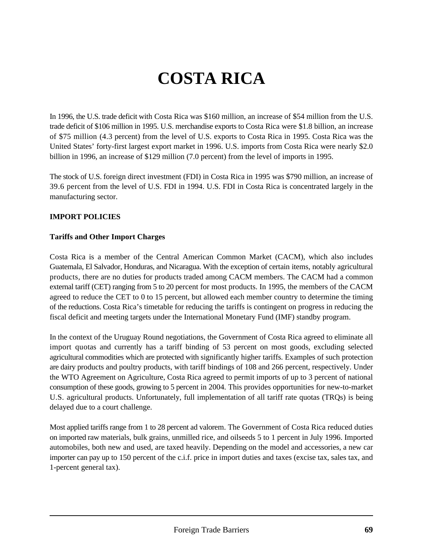# **COSTA RICA**

In 1996, the U.S. trade deficit with Costa Rica was \$160 million, an increase of \$54 million from the U.S. trade deficit of \$106 million in 1995. U.S. merchandise exports to Costa Rica were \$1.8 billion, an increase of \$75 million (4.3 percent) from the level of U.S. exports to Costa Rica in 1995. Costa Rica was the United States' forty-first largest export market in 1996. U.S. imports from Costa Rica were nearly \$2.0 billion in 1996, an increase of \$129 million (7.0 percent) from the level of imports in 1995.

The stock of U.S. foreign direct investment (FDI) in Costa Rica in 1995 was \$790 million, an increase of 39.6 percent from the level of U.S. FDI in 1994. U.S. FDI in Costa Rica is concentrated largely in the manufacturing sector.

## **IMPORT POLICIES**

#### **Tariffs and Other Import Charges**

Costa Rica is a member of the Central American Common Market (CACM), which also includes Guatemala, El Salvador, Honduras, and Nicaragua. With the exception of certain items, notably agricultural products, there are no duties for products traded among CACM members. The CACM had a common external tariff (CET) ranging from 5 to 20 percent for most products. In 1995, the members of the CACM agreed to reduce the CET to 0 to 15 percent, but allowed each member country to determine the timing of the reductions. Costa Rica's timetable for reducing the tariffs is contingent on progress in reducing the fiscal deficit and meeting targets under the International Monetary Fund (IMF) standby program.

In the context of the Uruguay Round negotiations, the Government of Costa Rica agreed to eliminate all import quotas and currently has a tariff binding of 53 percent on most goods, excluding selected agricultural commodities which are protected with significantly higher tariffs. Examples of such protection are dairy products and poultry products, with tariff bindings of 108 and 266 percent, respectively. Under the WTO Agreement on Agriculture, Costa Rica agreed to permit imports of up to 3 percent of national consumption of these goods, growing to 5 percent in 2004. This provides opportunities for new-to-market U.S. agricultural products. Unfortunately, full implementation of all tariff rate quotas (TRQs) is being delayed due to a court challenge.

Most applied tariffs range from 1 to 28 percent ad valorem. The Government of Costa Rica reduced duties on imported raw materials, bulk grains, unmilled rice, and oilseeds 5 to 1 percent in July 1996. Imported automobiles, both new and used, are taxed heavily. Depending on the model and accessories, a new car importer can pay up to 150 percent of the c.i.f. price in import duties and taxes (excise tax, sales tax, and 1-percent general tax).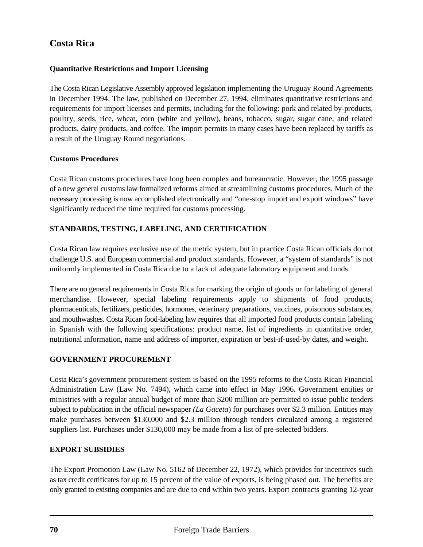# **Quantitative Restrictions and Import Licensing**

The Costa Rican Legislative Assembly approved legislation implementing the Uruguay Round Agreements in December 1994. The law, published on December 27, 1994, eliminates quantitative restrictions and requirements for import licenses and permits, including for the following: pork and related by-products, poultry, seeds, rice, wheat, corn (white and yellow), beans, tobacco, sugar, sugar cane, and related products, dairy products, and coffee. The import permits in many cases have been replaced by tariffs as a result of the Uruguay Round negotiations.

#### **Customs Procedures**

Costa Rican customs procedures have long been complex and bureaucratic. However, the 1995 passage of a new general customs law formalized reforms aimed at streamlining customs procedures. Much of the necessary processing is now accomplished electronically and "one-stop import and export windows" have significantly reduced the time required for customs processing.

## **STANDARDS, TESTING, LABELING, AND CERTIFICATION**

Costa Rican law requires exclusive use of the metric system, but in practice Costa Rican officials do not challenge U.S. and European commercial and product standards. However, a "system of standards" is not uniformly implemented in Costa Rica due to a lack of adequate laboratory equipment and funds.

There are no general requirements in Costa Rica for marking the origin of goods or for labeling of general merchandise. However, special labeling requirements apply to shipments of food products, pharmaceuticals, fertilizers, pesticides, hormones, veterinary preparations, vaccines, poisonous substances, and mouthwashes. Costa Rican food-labeling law requires that all imported food products contain labeling in Spanish with the following specifications: product name, list of ingredients in quantitative order, nutritional information, name and address of importer, expiration or best-if-used-by dates, and weight.

## **GOVERNMENT PROCUREMENT**

Costa Rica's government procurement system is based on the 1995 reforms to the Costa Rican Financial Administration Law (Law No. 7494), which came into effect in May 1996. Government entities or ministries with a regular annual budget of more than \$200 million are permitted to issue public tenders subject to publication in the official newspaper *(La Gaceta*) for purchases over \$2.3 million. Entities may make purchases between \$130,000 and \$2.3 million through tenders circulated among a registered suppliers list. Purchases under \$130,000 may be made from a list of pre-selected bidders.

#### **EXPORT SUBSIDIES**

The Export Promotion Law (Law No. 5162 of December 22, 1972), which provides for incentives such as tax credit certificates for up to 15 percent of the value of exports, is being phased out. The benefits are only granted to existing companies and are due to end within two years. Export contracts granting 12-year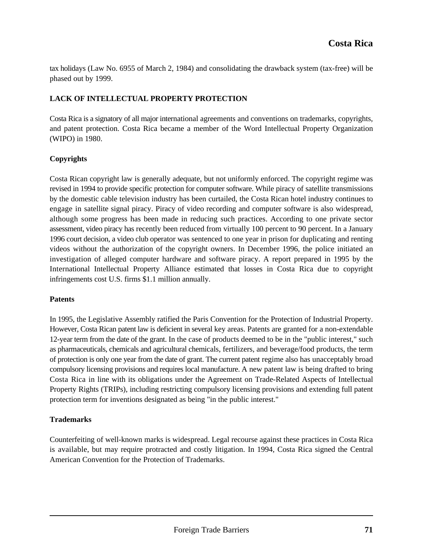tax holidays (Law No. 6955 of March 2, 1984) and consolidating the drawback system (tax-free) will be phased out by 1999.

## **LACK OF INTELLECTUAL PROPERTY PROTECTION**

Costa Rica is a signatory of all major international agreements and conventions on trademarks, copyrights, and patent protection. Costa Rica became a member of the Word Intellectual Property Organization (WIPO) in 1980.

#### **Copyrights**

Costa Rican copyright law is generally adequate, but not uniformly enforced. The copyright regime was revised in 1994 to provide specific protection for computer software. While piracy of satellite transmissions by the domestic cable television industry has been curtailed, the Costa Rican hotel industry continues to engage in satellite signal piracy. Piracy of video recording and computer software is also widespread, although some progress has been made in reducing such practices. According to one private sector assessment, video piracy has recently been reduced from virtually 100 percent to 90 percent. In a January 1996 court decision, a video club operator was sentenced to one year in prison for duplicating and renting videos without the authorization of the copyright owners. In December 1996, the police initiated an investigation of alleged computer hardware and software piracy. A report prepared in 1995 by the International Intellectual Property Alliance estimated that losses in Costa Rica due to copyright infringements cost U.S. firms \$1.1 million annually.

#### **Patents**

In 1995, the Legislative Assembly ratified the Paris Convention for the Protection of Industrial Property. However, Costa Rican patent law is deficient in several key areas. Patents are granted for a non-extendable 12-year term from the date of the grant. In the case of products deemed to be in the "public interest," such as pharmaceuticals, chemicals and agricultural chemicals, fertilizers, and beverage/food products, the term of protection is only one year from the date of grant. The current patent regime also has unacceptably broad compulsory licensing provisions and requires local manufacture. A new patent law is being drafted to bring Costa Rica in line with its obligations under the Agreement on Trade-Related Aspects of Intellectual Property Rights (TRIPs), including restricting compulsory licensing provisions and extending full patent protection term for inventions designated as being "in the public interest."

## **Trademarks**

Counterfeiting of well-known marks is widespread. Legal recourse against these practices in Costa Rica is available, but may require protracted and costly litigation. In 1994, Costa Rica signed the Central American Convention for the Protection of Trademarks.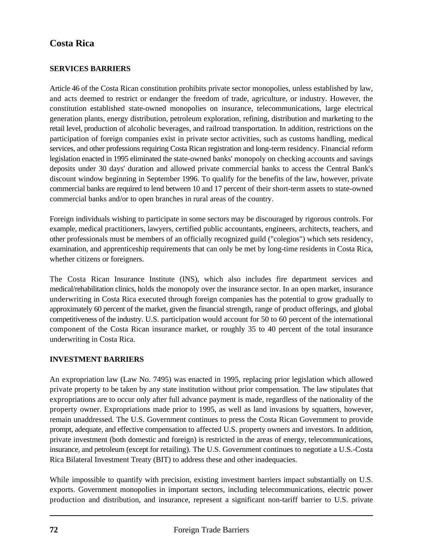# **SERVICES BARRIERS**

Article 46 of the Costa Rican constitution prohibits private sector monopolies, unless established by law, and acts deemed to restrict or endanger the freedom of trade, agriculture, or industry. However, the constitution established state-owned monopolies on insurance, telecommunications, large electrical generation plants, energy distribution, petroleum exploration, refining, distribution and marketing to the retail level, production of alcoholic beverages, and railroad transportation. In addition, restrictions on the participation of foreign companies exist in private sector activities, such as customs handling, medical services, and other professions requiring Costa Rican registration and long-term residency. Financial reform legislation enacted in 1995 eliminated the state-owned banks' monopoly on checking accounts and savings deposits under 30 days' duration and allowed private commercial banks to access the Central Bank's discount window beginning in September 1996. To qualify for the benefits of the law, however, private commercial banks are required to lend between 10 and 17 percent of their short-term assets to state-owned commercial banks and/or to open branches in rural areas of the country.

Foreign individuals wishing to participate in some sectors may be discouraged by rigorous controls. For example, medical practitioners, lawyers, certified public accountants, engineers, architects, teachers, and other professionals must be members of an officially recognized guild ("colegios") which sets residency, examination, and apprenticeship requirements that can only be met by long-time residents in Costa Rica, whether citizens or foreigners.

The Costa Rican Insurance Institute (INS), which also includes fire department services and medical/rehabilitation clinics, holds the monopoly over the insurance sector. In an open market, insurance underwriting in Costa Rica executed through foreign companies has the potential to grow gradually to approximately 60 percent of the market, given the financial strength, range of product offerings, and global competitiveness of the industry. U.S. participation would account for 50 to 60 percent of the international component of the Costa Rican insurance market, or roughly 35 to 40 percent of the total insurance underwriting in Costa Rica.

## **INVESTMENT BARRIERS**

An expropriation law (Law No. 7495) was enacted in 1995, replacing prior legislation which allowed private property to be taken by any state institution without prior compensation. The law stipulates that expropriations are to occur only after full advance payment is made, regardless of the nationality of the property owner. Expropriations made prior to 1995, as well as land invasions by squatters, however, remain unaddressed. The U.S. Government continues to press the Costa Rican Government to provide prompt, adequate, and effective compensation to affected U.S. property owners and investors. In addition, private investment (both domestic and foreign) is restricted in the areas of energy, telecommunications, insurance, and petroleum (except for retailing). The U.S. Government continues to negotiate a U.S.-Costa Rica Bilateral Investment Treaty (BIT) to address these and other inadequacies.

While impossible to quantify with precision, existing investment barriers impact substantially on U.S. exports. Government monopolies in important sectors, including telecommunications, electric power production and distribution, and insurance, represent a significant non-tariff barrier to U.S. private